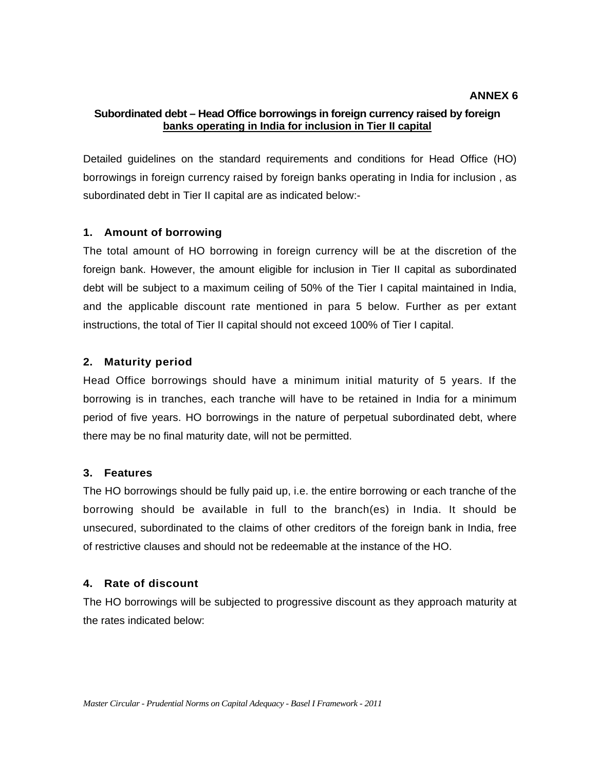#### **ANNEX 6**

## **Subordinated debt – Head Office borrowings in foreign currency raised by foreign banks operating in India for inclusion in Tier II capital**

Detailed guidelines on the standard requirements and conditions for Head Office (HO) borrowings in foreign currency raised by foreign banks operating in India for inclusion , as subordinated debt in Tier II capital are as indicated below:-

## **1. Amount of borrowing**

The total amount of HO borrowing in foreign currency will be at the discretion of the foreign bank. However, the amount eligible for inclusion in Tier II capital as subordinated debt will be subject to a maximum ceiling of 50% of the Tier I capital maintained in India, and the applicable discount rate mentioned in para 5 below. Further as per extant instructions, the total of Tier II capital should not exceed 100% of Tier I capital.

## **2. Maturity period**

Head Office borrowings should have a minimum initial maturity of 5 years. If the borrowing is in tranches, each tranche will have to be retained in India for a minimum period of five years. HO borrowings in the nature of perpetual subordinated debt, where there may be no final maturity date, will not be permitted.

#### **3. Features**

The HO borrowings should be fully paid up, i.e. the entire borrowing or each tranche of the borrowing should be available in full to the branch(es) in India. It should be unsecured, subordinated to the claims of other creditors of the foreign bank in India, free of restrictive clauses and should not be redeemable at the instance of the HO.

# **4. Rate of discount**

The HO borrowings will be subjected to progressive discount as they approach maturity at the rates indicated below: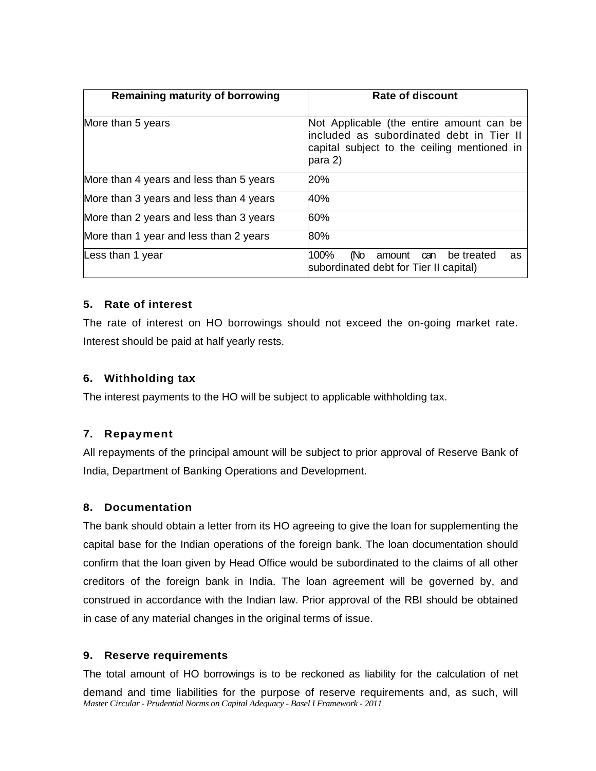| <b>Remaining maturity of borrowing</b>  | <b>Rate of discount</b>                                                                                                                        |
|-----------------------------------------|------------------------------------------------------------------------------------------------------------------------------------------------|
| More than 5 years                       | Not Applicable (the entire amount can be<br>included as subordinated debt in Tier II<br>capital subject to the ceiling mentioned in<br>para 2) |
| More than 4 years and less than 5 years | 20%                                                                                                                                            |
| More than 3 years and less than 4 years | 40%                                                                                                                                            |
| More than 2 years and less than 3 years | 60%                                                                                                                                            |
| More than 1 year and less than 2 years  | 80%                                                                                                                                            |
| Less than 1 year                        | 100%<br>(No<br>be treated<br>amount can<br>as<br>subordinated debt for Tier II capital)                                                        |

# **5. Rate of interest**

The rate of interest on HO borrowings should not exceed the on-going market rate. Interest should be paid at half yearly rests.

# **6. Withholding tax**

The interest payments to the HO will be subject to applicable withholding tax.

# **7. Repayment**

All repayments of the principal amount will be subject to prior approval of Reserve Bank of India, Department of Banking Operations and Development.

# **8. Documentation**

The bank should obtain a letter from its HO agreeing to give the loan for supplementing the capital base for the Indian operations of the foreign bank. The loan documentation should confirm that the loan given by Head Office would be subordinated to the claims of all other creditors of the foreign bank in India. The loan agreement will be governed by, and construed in accordance with the Indian law. Prior approval of the RBI should be obtained in case of any material changes in the original terms of issue.

# **9. Reserve requirements**

*Master Circular - Prudential Norms on Capital Adequacy - Basel I Framework - 2011* The total amount of HO borrowings is to be reckoned as liability for the calculation of net demand and time liabilities for the purpose of reserve requirements and, as such, will